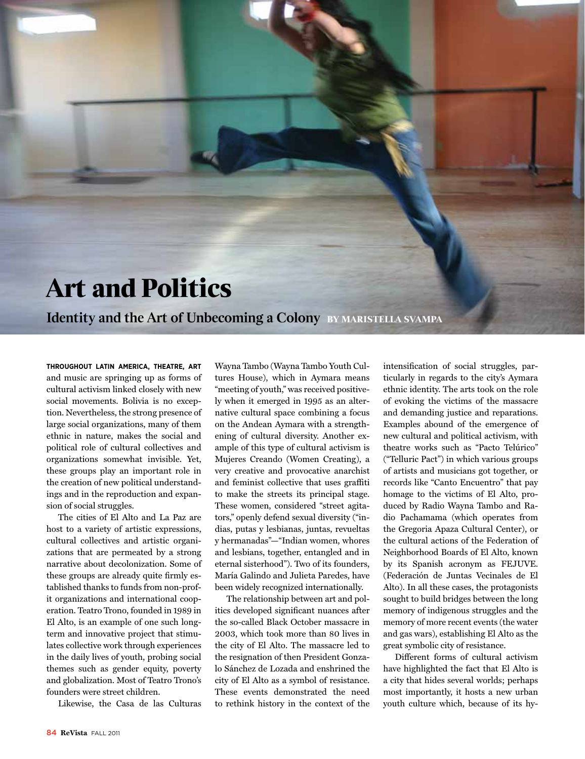## **Art and Politics**

**Identity and the Art of Unbecoming a Colony By Maristella Svampa**

**Throughout Latin America, theatre, art** and music are springing up as forms of cultural activism linked closely with new social movements. Bolivia is no exception. Nevertheless, the strong presence of large social organizations, many of them ethnic in nature, makes the social and political role of cultural collectives and organizations somewhat invisible. Yet, these groups play an important role in the creation of new political understandings and in the reproduction and expansion of social struggles.

The cities of El Alto and La Paz are host to a variety of artistic expressions, cultural collectives and artistic organizations that are permeated by a strong narrative about decolonization. Some of these groups are already quite firmly established thanks to funds from non-profit organizations and international cooperation. Teatro Trono, founded in 1989 in El Alto, is an example of one such longterm and innovative project that stimulates collective work through experiences in the daily lives of youth, probing social themes such as gender equity, poverty and globalization. Most of Teatro Trono's founders were street children.

Likewise, the Casa de las Culturas

Wayna Tambo (Wayna Tambo Youth Cultures House), which in Aymara means "meeting of youth," was received positively when it emerged in 1995 as an alternative cultural space combining a focus on the Andean Aymara with a strengthening of cultural diversity. Another example of this type of cultural activism is Mujeres Creando (Women Creating), a very creative and provocative anarchist and feminist collective that uses graffiti to make the streets its principal stage. These women, considered "street agitators," openly defend sexual diversity ("indias, putas y lesbianas, juntas, revueltas y hermanadas"—"Indian women, whores and lesbians, together, entangled and in eternal sisterhood"). Two of its founders, María Galindo and Julieta Paredes, have been widely recognized internationally.

The relationship between art and politics developed significant nuances after the so-called Black October massacre in 2003, which took more than 80 lives in the city of El Alto. The massacre led to the resignation of then President Gonzalo Sánchez de Lozada and enshrined the city of El Alto as a symbol of resistance. These events demonstrated the need to rethink history in the context of the intensification of social struggles, particularly in regards to the city's Aymara ethnic identity. The arts took on the role of evoking the victims of the massacre and demanding justice and reparations. Examples abound of the emergence of new cultural and political activism, with theatre works such as "Pacto Telúrico" ("Telluric Pact") in which various groups of artists and musicians got together, or records like "Canto Encuentro" that pay homage to the victims of El Alto, produced by Radio Wayna Tambo and Radio Pachamama (which operates from the Gregoria Apaza Cultural Center), or the cultural actions of the Federation of Neighborhood Boards of El Alto, known by its Spanish acronym as FEJUVE. (Federación de Juntas Vecinales de El Alto). In all these cases, the protagonists sought to build bridges between the long memory of indigenous struggles and the memory of more recent events (the water and gas wars), establishing El Alto as the great symbolic city of resistance.

Different forms of cultural activism have highlighted the fact that El Alto is a city that hides several worlds; perhaps most importantly, it hosts a new urban youth culture which, because of its hy-